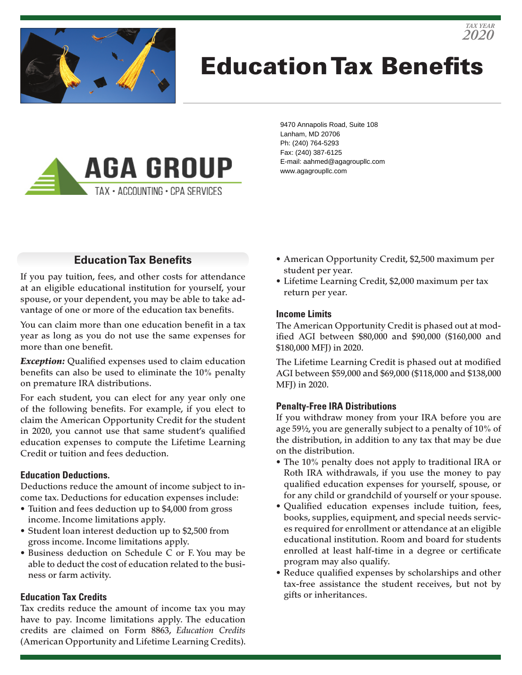

# Education Tax Benefits



9470 Annapolis Road, Suite 108 Lanham, MD 20706 Ph: (240) 764-5293 Fax: (240) 387-6125 E-mail: aahmed@agagroupllc.com www.agagroupllc.com

### **Education Tax Benefits**

If you pay tuition, fees, and other costs for attendance at an eligible educational institution for yourself, your spouse, or your dependent, you may be able to take advantage of one or more of the education tax benefits.

You can claim more than one education benefit in a tax year as long as you do not use the same expenses for more than one benefit.

*Exception:* Qualified expenses used to claim education benefits can also be used to eliminate the 10% penalty on premature IRA distributions.

For each student, you can elect for any year only one of the following benefits. For example, if you elect to claim the American Opportunity Credit for the student in 2020, you cannot use that same student's qualified education expenses to compute the Lifetime Learning Credit or tuition and fees deduction.

#### **Education Deductions.**

Deductions reduce the amount of income subject to income tax. Deductions for education expenses include:

- Tuition and fees deduction up to \$4,000 from gross income. Income limitations apply.
- Student loan interest deduction up to \$2,500 from gross income. Income limitations apply.
- Business deduction on Schedule C or F. You may be able to deduct the cost of education related to the business or farm activity.

#### **Education Tax Credits**

Tax credits reduce the amount of income tax you may have to pay. Income limitations apply. The education credits are claimed on Form 8863, *Education Credits* (American Opportunity and Lifetime Learning Credits).

- American Opportunity Credit, \$2,500 maximum per student per year.
- Lifetime Learning Credit, \$2,000 maximum per tax return per year.

#### **Income Limits**

The American Opportunity Credit is phased out at modified AGI between \$80,000 and \$90,000 (\$160,000 and \$180,000 MFJ) in 2020.

The Lifetime Learning Credit is phased out at modified AGI between \$59,000 and \$69,000 (\$118,000 and \$138,000 MFJ) in 2020.

#### **Penalty-Free IRA Distributions**

If you withdraw money from your IRA before you are age 59½, you are generally subject to a penalty of 10% of the distribution, in addition to any tax that may be due on the distribution.

- The 10% penalty does not apply to traditional IRA or Roth IRA withdrawals, if you use the money to pay qualified education expenses for yourself, spouse, or for any child or grandchild of yourself or your spouse.
- Qualified education expenses include tuition, fees, books, supplies, equipment, and special needs services required for enrollment or attendance at an eligible educational institution. Room and board for students enrolled at least half-time in a degree or certificate program may also qualify.
- Reduce qualified expenses by scholarships and other tax-free assistance the student receives, but not by gifts or inheritances.